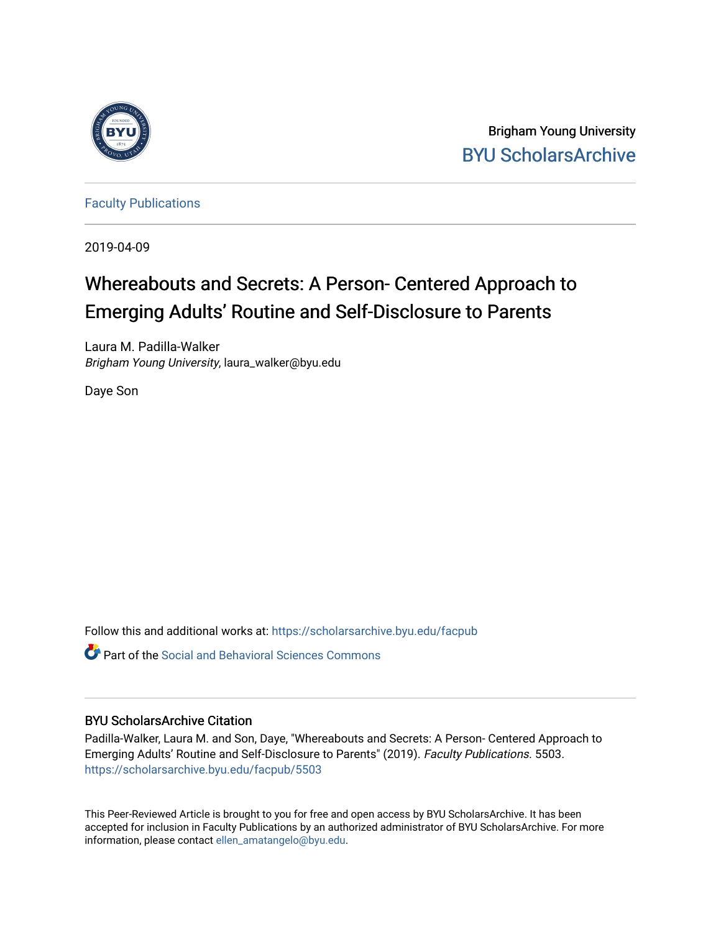

Brigham Young University [BYU ScholarsArchive](https://scholarsarchive.byu.edu/) 

[Faculty Publications](https://scholarsarchive.byu.edu/facpub)

2019-04-09

# Whereabouts and Secrets: A Person- Centered Approach to Emerging Adults' Routine and Self-Disclosure to Parents

Laura M. Padilla-Walker Brigham Young University, laura\_walker@byu.edu

Daye Son

Follow this and additional works at: [https://scholarsarchive.byu.edu/facpub](https://scholarsarchive.byu.edu/facpub?utm_source=scholarsarchive.byu.edu%2Ffacpub%2F5503&utm_medium=PDF&utm_campaign=PDFCoverPages) 

**Part of the Social and Behavioral Sciences Commons** 

# BYU ScholarsArchive Citation

Padilla-Walker, Laura M. and Son, Daye, "Whereabouts and Secrets: A Person- Centered Approach to Emerging Adults' Routine and Self-Disclosure to Parents" (2019). Faculty Publications. 5503. [https://scholarsarchive.byu.edu/facpub/5503](https://scholarsarchive.byu.edu/facpub/5503?utm_source=scholarsarchive.byu.edu%2Ffacpub%2F5503&utm_medium=PDF&utm_campaign=PDFCoverPages)

This Peer-Reviewed Article is brought to you for free and open access by BYU ScholarsArchive. It has been accepted for inclusion in Faculty Publications by an authorized administrator of BYU ScholarsArchive. For more information, please contact [ellen\\_amatangelo@byu.edu.](mailto:ellen_amatangelo@byu.edu)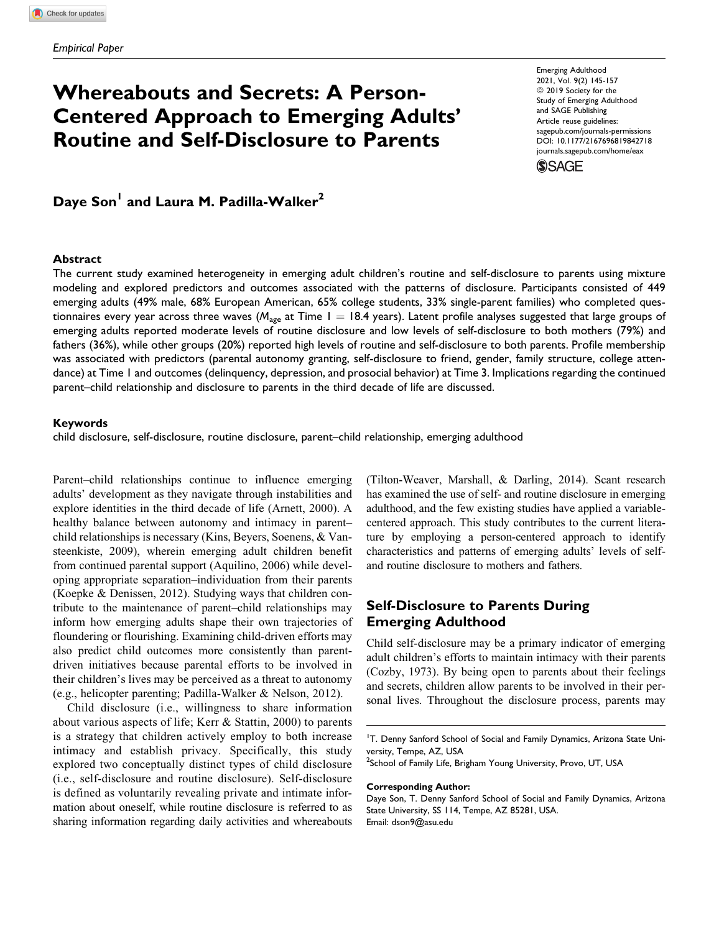# **Whereabouts and Secrets: A Person-Centered Approach to Emerging Adults' Routine and Self-Disclosure to Parents**

Emerging Adulthood 2021, Vol. 9(2) 145-157  $@$  2019 Society for the Study of Emerging Adulthood and SAGE Publishing Article reuse guidelines: [sagepub.com/journals-permissions](https://sagepub.com/journals-permissions) [DOI: 10.1177/2167696819842718](https://doi.org/10.1177/2167696819842718) [journals.sagepub.com/home/eax](http://journals.sagepub.com/home/eax)



Daye Son<sup>1</sup> and Laura M. Padilla-Walker<sup>2</sup>

## **Abstract**

The current study examined heterogeneity in emerging adult children's routine and self-disclosure to parents using mixture modeling and explored predictors and outcomes associated with the patterns of disclosure. Participants consisted of 449 emerging adults (49% male, 68% European American, 65% college students, 33% single-parent families) who completed questionnaires every year across three waves (M<sub>age</sub> at Time 1 = 18.4 years). Latent profile analyses suggested that large groups of emerging adults reported moderate levels of routine disclosure and low levels of self-disclosure to both mothers (79%) and fathers (36%), while other groups (20%) reported high levels of routine and self-disclosure to both parents. Profile membership was associated with predictors (parental autonomy granting, self-disclosure to friend, gender, family structure, college attendance) at Time 1 and outcomes (delinquency, depression, and prosocial behavior) at Time 3. Implications regarding the continued parent–child relationship and disclosure to parents in the third decade of life are discussed.

## **Keywords**

child disclosure, self-disclosure, routine disclosure, parent–child relationship, emerging adulthood

Parent–child relationships continue to influence emerging adults' development as they navigate through instabilities and explore identities in the third decade of life (Arnett, 2000). A healthy balance between autonomy and intimacy in parent– child relationships is necessary (Kins, Beyers, Soenens, & Vansteenkiste, 2009), wherein emerging adult children benefit from continued parental support (Aquilino, 2006) while developing appropriate separation–individuation from their parents (Koepke & Denissen, 2012). Studying ways that children contribute to the maintenance of parent–child relationships may inform how emerging adults shape their own trajectories of floundering or flourishing. Examining child-driven efforts may also predict child outcomes more consistently than parentdriven initiatives because parental efforts to be involved in their children's lives may be perceived as a threat to autonomy (e.g., helicopter parenting; Padilla-Walker & Nelson, 2012).

Child disclosure (i.e., willingness to share information about various aspects of life; Kerr & Stattin, 2000) to parents is a strategy that children actively employ to both increase intimacy and establish privacy. Specifically, this study explored two conceptually distinct types of child disclosure (i.e., self-disclosure and routine disclosure). Self-disclosure is defined as voluntarily revealing private and intimate information about oneself, while routine disclosure is referred to as sharing information regarding daily activities and whereabouts (Tilton-Weaver, Marshall, & Darling, 2014). Scant research has examined the use of self- and routine disclosure in emerging adulthood, and the few existing studies have applied a variablecentered approach. This study contributes to the current literature by employing a person-centered approach to identify characteristics and patterns of emerging adults' levels of selfand routine disclosure to mothers and fathers.

# **Self-Disclosure to Parents During Emerging Adulthood**

Child self-disclosure may be a primary indicator of emerging adult children's efforts to maintain intimacy with their parents (Cozby, 1973). By being open to parents about their feelings and secrets, children allow parents to be involved in their personal lives. Throughout the disclosure process, parents may

#### **Corresponding Author:**

Daye Son, T. Denny Sanford School of Social and Family Dynamics, Arizona State University, SS 114, Tempe, AZ 85281, USA. Email: [dson9@asu.edu](mailto:dson9@asu.edu)

<sup>&</sup>lt;sup>1</sup>T. Denny Sanford School of Social and Family Dynamics, Arizona State University, Tempe, AZ, USA

 $^2$ School of Family Life, Brigham Young University, Provo, UT, USA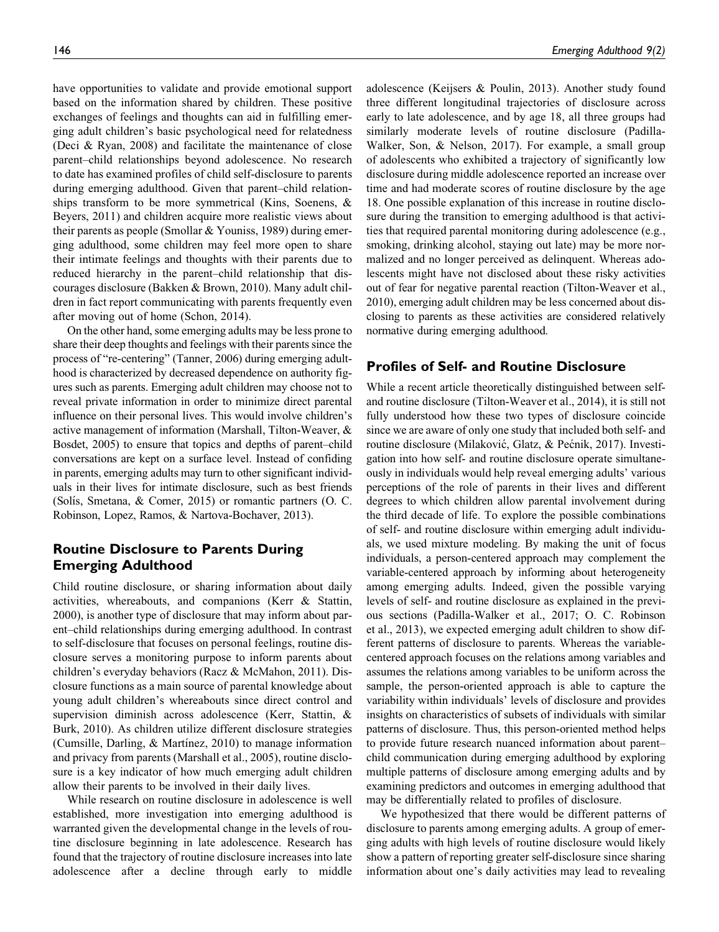146 *Emerging Adulthood 9(2)*

have opportunities to validate and provide emotional support based on the information shared by children. These positive exchanges of feelings and thoughts can aid in fulfilling emerging adult children's basic psychological need for relatedness (Deci & Ryan, 2008) and facilitate the maintenance of close parent–child relationships beyond adolescence. No research to date has examined profiles of child self-disclosure to parents during emerging adulthood. Given that parent–child relationships transform to be more symmetrical (Kins, Soenens, & Beyers, 2011) and children acquire more realistic views about their parents as people (Smollar & Youniss, 1989) during emerging adulthood, some children may feel more open to share their intimate feelings and thoughts with their parents due to reduced hierarchy in the parent–child relationship that discourages disclosure (Bakken & Brown, 2010). Many adult children in fact report communicating with parents frequently even after moving out of home (Schon, 2014).

On the other hand, some emerging adults may be less prone to share their deep thoughts and feelings with their parents since the process of "re-centering" (Tanner, 2006) during emerging adulthood is characterized by decreased dependence on authority figures such as parents. Emerging adult children may choose not to reveal private information in order to minimize direct parental influence on their personal lives. This would involve children's active management of information (Marshall, Tilton-Weaver, & Bosdet, 2005) to ensure that topics and depths of parent–child conversations are kept on a surface level. Instead of confiding in parents, emerging adults may turn to other significant individuals in their lives for intimate disclosure, such as best friends (Solís, Smetana,  $&$  Comer, 2015) or romantic partners (O. C. Robinson, Lopez, Ramos, & Nartova-Bochaver, 2013).

# **Routine Disclosure to Parents During Emerging Adulthood**

Child routine disclosure, or sharing information about daily activities, whereabouts, and companions (Kerr & Stattin, 2000), is another type of disclosure that may inform about parent–child relationships during emerging adulthood. In contrast to self-disclosure that focuses on personal feelings, routine disclosure serves a monitoring purpose to inform parents about children's everyday behaviors (Racz & McMahon, 2011). Disclosure functions as a main source of parental knowledge about young adult children's whereabouts since direct control and supervision diminish across adolescence (Kerr, Stattin, & Burk, 2010). As children utilize different disclosure strategies (Cumsille, Darling, & Martínez, 2010) to manage information and privacy from parents (Marshall et al., 2005), routine disclosure is a key indicator of how much emerging adult children allow their parents to be involved in their daily lives.

While research on routine disclosure in adolescence is well established, more investigation into emerging adulthood is warranted given the developmental change in the levels of routine disclosure beginning in late adolescence. Research has found that the trajectory of routine disclosure increases into late adolescence after a decline through early to middle

adolescence (Keijsers & Poulin, 2013). Another study found three different longitudinal trajectories of disclosure across early to late adolescence, and by age 18, all three groups had similarly moderate levels of routine disclosure (Padilla-Walker, Son, & Nelson, 2017). For example, a small group of adolescents who exhibited a trajectory of significantly low disclosure during middle adolescence reported an increase over time and had moderate scores of routine disclosure by the age 18. One possible explanation of this increase in routine disclosure during the transition to emerging adulthood is that activities that required parental monitoring during adolescence (e.g., smoking, drinking alcohol, staying out late) may be more normalized and no longer perceived as delinquent. Whereas adolescents might have not disclosed about these risky activities out of fear for negative parental reaction (Tilton-Weaver et al., 2010), emerging adult children may be less concerned about disclosing to parents as these activities are considered relatively normative during emerging adulthood.

## **Profiles of Self- and Routine Disclosure**

While a recent article theoretically distinguished between selfand routine disclosure (Tilton-Weaver et al., 2014), it is still not fully understood how these two types of disclosure coincide since we are aware of only one study that included both self- and routine disclosure (Milaković, Glatz, & Pećnik, 2017). Investigation into how self- and routine disclosure operate simultaneously in individuals would help reveal emerging adults' various perceptions of the role of parents in their lives and different degrees to which children allow parental involvement during the third decade of life. To explore the possible combinations of self- and routine disclosure within emerging adult individuals, we used mixture modeling. By making the unit of focus individuals, a person-centered approach may complement the variable-centered approach by informing about heterogeneity among emerging adults. Indeed, given the possible varying levels of self- and routine disclosure as explained in the previous sections (Padilla-Walker et al., 2017; O. C. Robinson et al., 2013), we expected emerging adult children to show different patterns of disclosure to parents. Whereas the variablecentered approach focuses on the relations among variables and assumes the relations among variables to be uniform across the sample, the person-oriented approach is able to capture the variability within individuals' levels of disclosure and provides insights on characteristics of subsets of individuals with similar patterns of disclosure. Thus, this person-oriented method helps to provide future research nuanced information about parent– child communication during emerging adulthood by exploring multiple patterns of disclosure among emerging adults and by examining predictors and outcomes in emerging adulthood that may be differentially related to profiles of disclosure.

We hypothesized that there would be different patterns of disclosure to parents among emerging adults. A group of emerging adults with high levels of routine disclosure would likely show a pattern of reporting greater self-disclosure since sharing information about one's daily activities may lead to revealing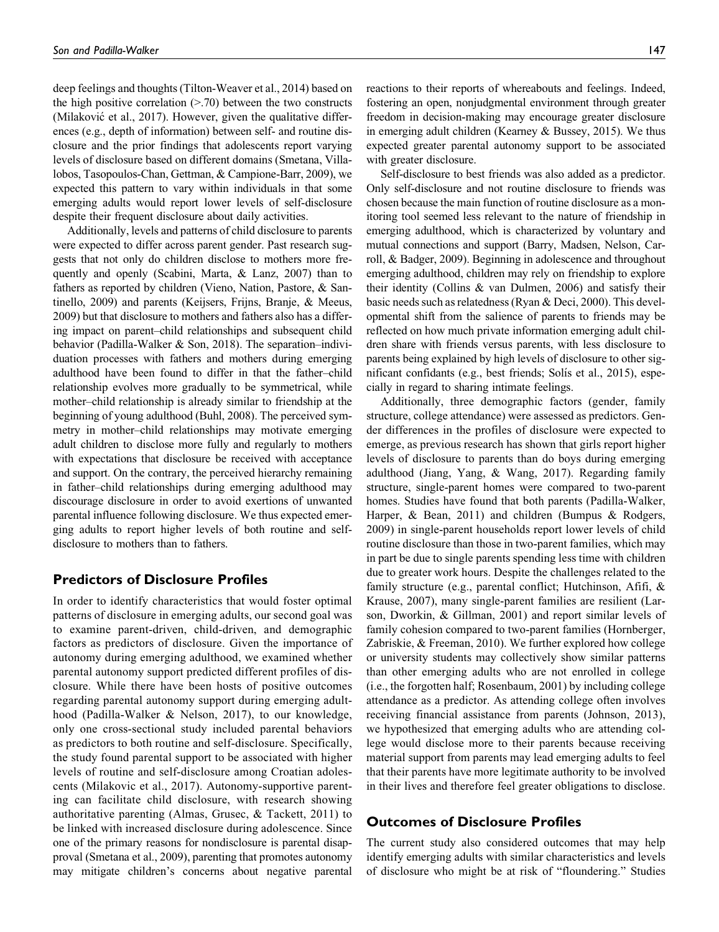deep feelings and thoughts (Tilton-Weaver et al., 2014) based on the high positive correlation  $(> 70)$  between the two constructs (Milaković et al., 2017). However, given the qualitative differences (e.g., depth of information) between self- and routine disclosure and the prior findings that adolescents report varying levels of disclosure based on different domains (Smetana, Villalobos, Tasopoulos-Chan, Gettman, & Campione-Barr, 2009), we expected this pattern to vary within individuals in that some emerging adults would report lower levels of self-disclosure despite their frequent disclosure about daily activities.

Additionally, levels and patterns of child disclosure to parents were expected to differ across parent gender. Past research suggests that not only do children disclose to mothers more frequently and openly (Scabini, Marta, & Lanz, 2007) than to fathers as reported by children (Vieno, Nation, Pastore, & Santinello, 2009) and parents (Keijsers, Frijns, Branje, & Meeus, 2009) but that disclosure to mothers and fathers also has a differing impact on parent–child relationships and subsequent child behavior (Padilla-Walker & Son, 2018). The separation–individuation processes with fathers and mothers during emerging adulthood have been found to differ in that the father–child relationship evolves more gradually to be symmetrical, while mother–child relationship is already similar to friendship at the beginning of young adulthood (Buhl, 2008). The perceived symmetry in mother–child relationships may motivate emerging adult children to disclose more fully and regularly to mothers with expectations that disclosure be received with acceptance and support. On the contrary, the perceived hierarchy remaining in father–child relationships during emerging adulthood may discourage disclosure in order to avoid exertions of unwanted parental influence following disclosure. We thus expected emerging adults to report higher levels of both routine and selfdisclosure to mothers than to fathers.

# **Predictors of Disclosure Profiles**

In order to identify characteristics that would foster optimal patterns of disclosure in emerging adults, our second goal was to examine parent-driven, child-driven, and demographic factors as predictors of disclosure. Given the importance of autonomy during emerging adulthood, we examined whether parental autonomy support predicted different profiles of disclosure. While there have been hosts of positive outcomes regarding parental autonomy support during emerging adulthood (Padilla-Walker & Nelson, 2017), to our knowledge, only one cross-sectional study included parental behaviors as predictors to both routine and self-disclosure. Specifically, the study found parental support to be associated with higher levels of routine and self-disclosure among Croatian adolescents (Milakovic et al., 2017). Autonomy-supportive parenting can facilitate child disclosure, with research showing authoritative parenting (Almas, Grusec, & Tackett, 2011) to be linked with increased disclosure during adolescence. Since one of the primary reasons for nondisclosure is parental disapproval (Smetana et al., 2009), parenting that promotes autonomy may mitigate children's concerns about negative parental

reactions to their reports of whereabouts and feelings. Indeed, fostering an open, nonjudgmental environment through greater freedom in decision-making may encourage greater disclosure in emerging adult children (Kearney & Bussey, 2015). We thus expected greater parental autonomy support to be associated with greater disclosure.

Self-disclosure to best friends was also added as a predictor. Only self-disclosure and not routine disclosure to friends was chosen because the main function of routine disclosure as a monitoring tool seemed less relevant to the nature of friendship in emerging adulthood, which is characterized by voluntary and mutual connections and support (Barry, Madsen, Nelson, Carroll, & Badger, 2009). Beginning in adolescence and throughout emerging adulthood, children may rely on friendship to explore their identity (Collins & van Dulmen, 2006) and satisfy their basic needs such as relatedness (Ryan & Deci, 2000). This developmental shift from the salience of parents to friends may be reflected on how much private information emerging adult children share with friends versus parents, with less disclosure to parents being explained by high levels of disclosure to other significant confidants (e.g., best friends; Solís et al., 2015), especially in regard to sharing intimate feelings.

Additionally, three demographic factors (gender, family structure, college attendance) were assessed as predictors. Gender differences in the profiles of disclosure were expected to emerge, as previous research has shown that girls report higher levels of disclosure to parents than do boys during emerging adulthood (Jiang, Yang, & Wang, 2017). Regarding family structure, single-parent homes were compared to two-parent homes. Studies have found that both parents (Padilla-Walker, Harper, & Bean, 2011) and children (Bumpus & Rodgers, 2009) in single-parent households report lower levels of child routine disclosure than those in two-parent families, which may in part be due to single parents spending less time with children due to greater work hours. Despite the challenges related to the family structure (e.g., parental conflict; Hutchinson, Afifi, & Krause, 2007), many single-parent families are resilient (Larson, Dworkin, & Gillman, 2001) and report similar levels of family cohesion compared to two-parent families (Hornberger, Zabriskie, & Freeman, 2010). We further explored how college or university students may collectively show similar patterns than other emerging adults who are not enrolled in college (i.e., the forgotten half; Rosenbaum, 2001) by including college attendance as a predictor. As attending college often involves receiving financial assistance from parents (Johnson, 2013), we hypothesized that emerging adults who are attending college would disclose more to their parents because receiving material support from parents may lead emerging adults to feel that their parents have more legitimate authority to be involved in their lives and therefore feel greater obligations to disclose.

## **Outcomes of Disclosure Profiles**

The current study also considered outcomes that may help identify emerging adults with similar characteristics and levels of disclosure who might be at risk of "floundering." Studies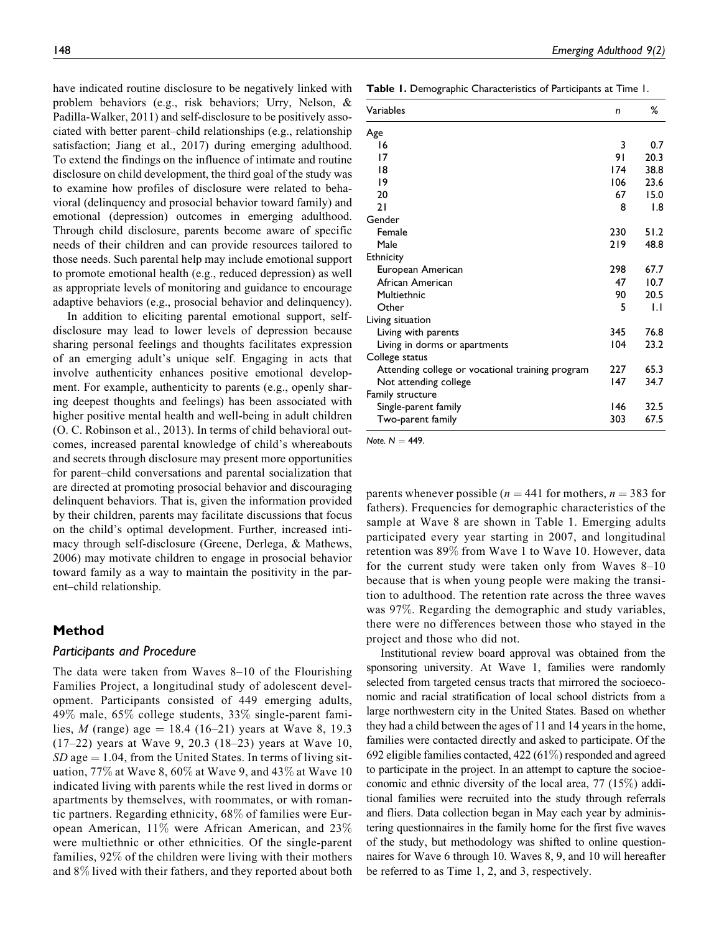have indicated routine disclosure to be negatively linked with problem behaviors (e.g., risk behaviors; Urry, Nelson, & Padilla-Walker, 2011) and self-disclosure to be positively associated with better parent–child relationships (e.g., relationship satisfaction; Jiang et al., 2017) during emerging adulthood. To extend the findings on the influence of intimate and routine disclosure on child development, the third goal of the study was to examine how profiles of disclosure were related to behavioral (delinquency and prosocial behavior toward family) and emotional (depression) outcomes in emerging adulthood. Through child disclosure, parents become aware of specific needs of their children and can provide resources tailored to those needs. Such parental help may include emotional support to promote emotional health (e.g., reduced depression) as well as appropriate levels of monitoring and guidance to encourage adaptive behaviors (e.g., prosocial behavior and delinquency).

In addition to eliciting parental emotional support, selfdisclosure may lead to lower levels of depression because sharing personal feelings and thoughts facilitates expression of an emerging adult's unique self. Engaging in acts that involve authenticity enhances positive emotional development. For example, authenticity to parents (e.g., openly sharing deepest thoughts and feelings) has been associated with higher positive mental health and well-being in adult children (O. C. Robinson et al., 2013). In terms of child behavioral outcomes, increased parental knowledge of child's whereabouts and secrets through disclosure may present more opportunities for parent–child conversations and parental socialization that are directed at promoting prosocial behavior and discouraging delinquent behaviors. That is, given the information provided by their children, parents may facilitate discussions that focus on the child's optimal development. Further, increased intimacy through self-disclosure (Greene, Derlega, & Mathews, 2006) may motivate children to engage in prosocial behavior toward family as a way to maintain the positivity in the parent–child relationship.

## **Method**

#### *Participants and Procedure*

The data were taken from Waves 8–10 of the Flourishing Families Project, a longitudinal study of adolescent development. Participants consisted of 449 emerging adults, 49% male, 65% college students, 33% single-parent families, *M* (range) age = 18.4 (16–21) years at Wave 8, 19.3 (17–22) years at Wave 9, 20.3 (18–23) years at Wave 10,  $SD$  age  $= 1.04$ , from the United States. In terms of living situation,  $77\%$  at Wave 8, 60% at Wave 9, and 43% at Wave 10 indicated living with parents while the rest lived in dorms or apartments by themselves, with roommates, or with romantic partners. Regarding ethnicity, 68% of families were European American, 11% were African American, and 23% were multiethnic or other ethnicities. Of the single-parent families, 92% of the children were living with their mothers and 8% lived with their fathers, and they reported about both

**Table 1.** Demographic Characteristics of Participants at Time 1.

| Variables                                        | n   | %    |  |  |  |  |
|--------------------------------------------------|-----|------|--|--|--|--|
| Age                                              |     |      |  |  |  |  |
| 16                                               | 3   | 0.7  |  |  |  |  |
| 17                                               | 91  | 20.3 |  |  |  |  |
| 18                                               | 174 | 38.8 |  |  |  |  |
| 9                                                | 106 | 23.6 |  |  |  |  |
| 20                                               | 67  | 15.0 |  |  |  |  |
| 21                                               | 8   | 1.8  |  |  |  |  |
| Gender                                           |     |      |  |  |  |  |
| Female                                           | 230 | 51.2 |  |  |  |  |
| Male                                             | 219 | 48.8 |  |  |  |  |
| Ethnicity                                        |     |      |  |  |  |  |
| European American                                | 298 | 67.7 |  |  |  |  |
| African American                                 | 47  | 10.7 |  |  |  |  |
| Multiethnic                                      | 90  | 20.5 |  |  |  |  |
| Other                                            | 5   | IJ   |  |  |  |  |
| Living situation                                 |     |      |  |  |  |  |
| Living with parents                              | 345 | 76.8 |  |  |  |  |
| Living in dorms or apartments                    | 104 | 23.2 |  |  |  |  |
| College status                                   |     |      |  |  |  |  |
| Attending college or vocational training program | 227 | 65.3 |  |  |  |  |
| Not attending college                            | 147 | 34.7 |  |  |  |  |
| Family structure                                 |     |      |  |  |  |  |
| Single-parent family                             | 146 | 32.5 |  |  |  |  |
| Two-parent family                                | 303 | 67.5 |  |  |  |  |

 $Note. N = 449.$ 

parents whenever possible ( $n = 441$  for mothers,  $n = 383$  for fathers). Frequencies for demographic characteristics of the sample at Wave 8 are shown in Table 1. Emerging adults participated every year starting in 2007, and longitudinal retention was 89% from Wave 1 to Wave 10. However, data for the current study were taken only from Waves 8–10 because that is when young people were making the transition to adulthood. The retention rate across the three waves was 97%. Regarding the demographic and study variables, there were no differences between those who stayed in the project and those who did not.

Institutional review board approval was obtained from the sponsoring university. At Wave 1, families were randomly selected from targeted census tracts that mirrored the socioeconomic and racial stratification of local school districts from a large northwestern city in the United States. Based on whether they had a child between the ages of 11 and 14 years in the home, families were contacted directly and asked to participate. Of the 692 eligible families contacted, 422 (61%) responded and agreed to participate in the project. In an attempt to capture the socioeconomic and ethnic diversity of the local area, 77 (15%) additional families were recruited into the study through referrals and fliers. Data collection began in May each year by administering questionnaires in the family home for the first five waves of the study, but methodology was shifted to online questionnaires for Wave 6 through 10. Waves 8, 9, and 10 will hereafter be referred to as Time 1, 2, and 3, respectively.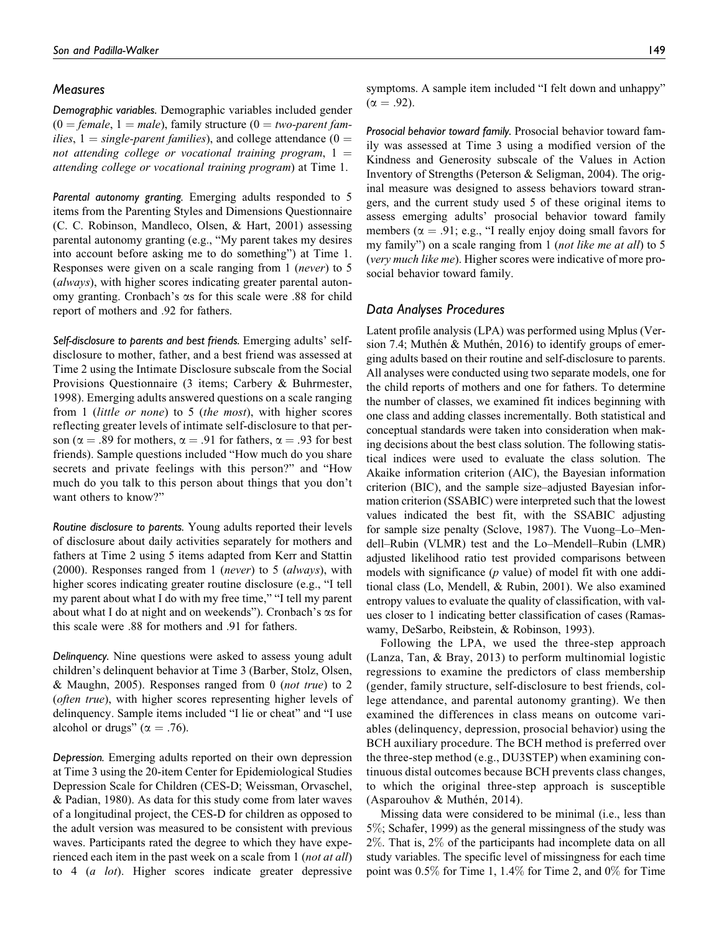## *Measures*

*Demographic variables.* Demographic variables included gender  $(0 = female, 1 = male)$ , family structure  $(0 = two.parent fan$ *ilies*,  $1 = single-parent families$ , and college attendance (0  $=$ not attending college or vocational training program,  $1 =$ attending college or vocational training program) at Time 1.

*Parental autonomy granting.* Emerging adults responded to 5 items from the Parenting Styles and Dimensions Questionnaire (C. C. Robinson, Mandleco, Olsen, & Hart, 2001) assessing parental autonomy granting (e.g., "My parent takes my desires into account before asking me to do something") at Time 1. Responses were given on a scale ranging from 1 (never) to 5 (*always*), with higher scores indicating greater parental autonomy granting. Cronbach's as for this scale were .88 for child report of mothers and .92 for fathers.

*Self-disclosure to parents and best friends.* Emerging adults' selfdisclosure to mother, father, and a best friend was assessed at Time 2 using the Intimate Disclosure subscale from the Social Provisions Questionnaire (3 items; Carbery & Buhrmester, 1998). Emerging adults answered questions on a scale ranging from 1 *(little or none)* to 5 *(the most)*, with higher scores reflecting greater levels of intimate self-disclosure to that person ( $\alpha = .89$  for mothers,  $\alpha = .91$  for fathers,  $\alpha = .93$  for best friends). Sample questions included "How much do you share secrets and private feelings with this person?" and "How much do you talk to this person about things that you don't want others to know?"

*Routine disclosure to parents.* Young adults reported their levels of disclosure about daily activities separately for mothers and fathers at Time 2 using 5 items adapted from Kerr and Stattin  $(2000)$ . Responses ranged from 1 *(never)* to 5 *(always)*, with higher scores indicating greater routine disclosure (e.g., "I tell my parent about what I do with my free time," "I tell my parent about what I do at night and on weekends"). Cronbach's  $\alpha$ s for this scale were .88 for mothers and .91 for fathers.

*Delinquency.* Nine questions were asked to assess young adult children's delinquent behavior at Time 3 (Barber, Stolz, Olsen, & Maughn, 2005). Responses ranged from 0 (not true) to 2 (often true), with higher scores representing higher levels of delinquency. Sample items included "I lie or cheat" and "I use alcohol or drugs" ( $\alpha = .76$ ).

*Depression.* Emerging adults reported on their own depression at Time 3 using the 20-item Center for Epidemiological Studies Depression Scale for Children (CES-D; Weissman, Orvaschel, & Padian, 1980). As data for this study come from later waves of a longitudinal project, the CES-D for children as opposed to the adult version was measured to be consistent with previous waves. Participants rated the degree to which they have experienced each item in the past week on a scale from 1 *(not at all)* to 4 (a lot). Higher scores indicate greater depressive

*Prosocial behavior toward family.* Prosocial behavior toward family was assessed at Time 3 using a modified version of the Kindness and Generosity subscale of the Values in Action Inventory of Strengths (Peterson & Seligman, 2004). The original measure was designed to assess behaviors toward strangers, and the current study used 5 of these original items to assess emerging adults' prosocial behavior toward family members ( $\alpha$  = .91; e.g., "I really enjoy doing small favors for my family") on a scale ranging from 1 (not like me at all) to 5 (very much like me). Higher scores were indicative of more prosocial behavior toward family.

## *Data Analyses Procedures*

Latent profile analysis (LPA) was performed using Mplus (Version 7.4; Muthén & Muthén, 2016) to identify groups of emerging adults based on their routine and self-disclosure to parents. All analyses were conducted using two separate models, one for the child reports of mothers and one for fathers. To determine the number of classes, we examined fit indices beginning with one class and adding classes incrementally. Both statistical and conceptual standards were taken into consideration when making decisions about the best class solution. The following statistical indices were used to evaluate the class solution. The Akaike information criterion (AIC), the Bayesian information criterion (BIC), and the sample size–adjusted Bayesian information criterion (SSABIC) were interpreted such that the lowest values indicated the best fit, with the SSABIC adjusting for sample size penalty (Sclove, 1987). The Vuong–Lo–Mendell–Rubin (VLMR) test and the Lo–Mendell–Rubin (LMR) adjusted likelihood ratio test provided comparisons between models with significance  $(p \text{ value})$  of model fit with one additional class (Lo, Mendell, & Rubin, 2001). We also examined entropy values to evaluate the quality of classification, with values closer to 1 indicating better classification of cases (Ramaswamy, DeSarbo, Reibstein, & Robinson, 1993).

Following the LPA, we used the three-step approach (Lanza, Tan, & Bray, 2013) to perform multinomial logistic regressions to examine the predictors of class membership (gender, family structure, self-disclosure to best friends, college attendance, and parental autonomy granting). We then examined the differences in class means on outcome variables (delinquency, depression, prosocial behavior) using the BCH auxiliary procedure. The BCH method is preferred over the three-step method (e.g., DU3STEP) when examining continuous distal outcomes because BCH prevents class changes, to which the original three-step approach is susceptible (Asparouhov & Muthén, 2014).

Missing data were considered to be minimal (i.e., less than 5%; Schafer, 1999) as the general missingness of the study was 2%. That is, 2% of the participants had incomplete data on all study variables. The specific level of missingness for each time point was 0.5% for Time 1, 1.4% for Time 2, and 0% for Time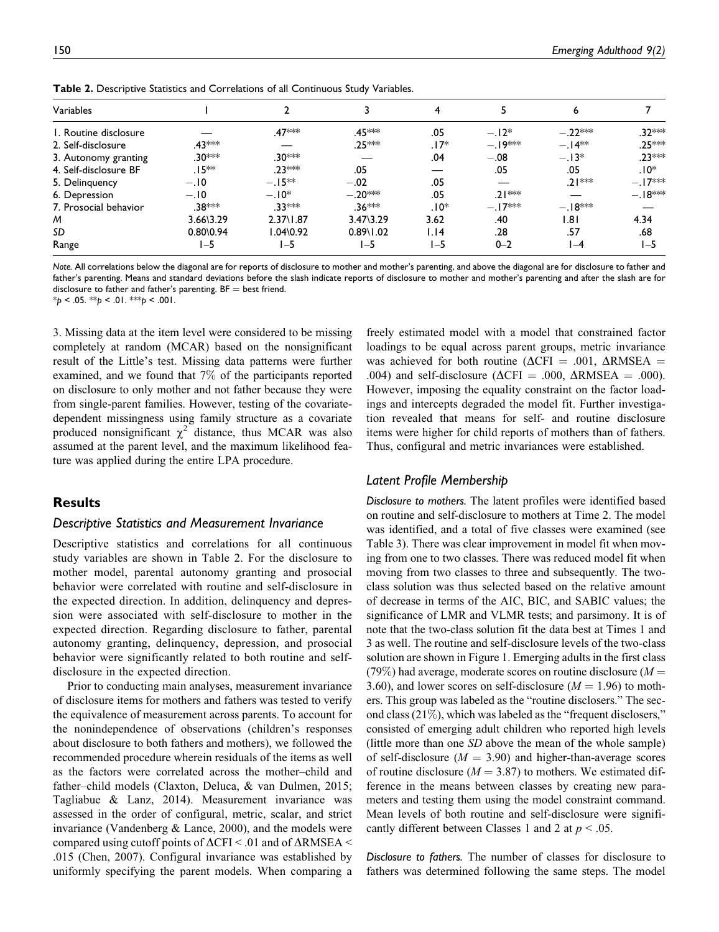| Variables             |                      |                    |                      | 4      |           | 6         |           |
|-----------------------|----------------------|--------------------|----------------------|--------|-----------|-----------|-----------|
| 1. Routine disclosure |                      | .47 <sup>***</sup> | .45***               | .05    | $-.12*$   | $-.22***$ | .32***    |
| 2. Self-disclosure    | .43 ***              |                    | .25 ***              | .17*   | $-.19***$ | $-.14**$  | .25***    |
| 3. Autonomy granting  | $.30***$             | .30***             |                      | .04    | $-.08$    | $-.13*$   | .23***    |
| 4. Self-disclosure BF | $.15**$              | .23***             | .05                  |        | .05       | .05       | $.10*$    |
| 5. Delinquency        | $-.10$               | $-.15**$           | $-.02$               | .05    |           | .21 ***   | $-.17***$ |
| 6. Depression         | $-.10$               | $-.10*$            | $-.20***$            | .05    | $.21***$  |           | $-.18***$ |
| 7. Prosocial behavior | .38***               | .33***             | .36***               | $.10*$ | $-.17***$ | $-.18***$ |           |
| м                     | $3.66\backslash3.29$ | $2.37$ \1.87       | $3.47\backslash3.29$ | 3.62   | .40       | .8        | 4.34      |
| SD                    | $0.80\backslash0.94$ | 1.04\0.92          | $0.89$ \ $1.02$      | 1.14   | .28       | .57       | .68       |
| Range                 | I-5                  | $-5$               | I-5                  | 1–5    | $0 - 2$   | l –4      | I-5       |

**Table 2.** Descriptive Statistics and Correlations of all Continuous Study Variables.

*Note.* All correlations below the diagonal are for reports of disclosure to mother and mother's parenting, and above the diagonal are for disclosure to father and father's parenting. Means and standard deviations before the slash indicate reports of disclosure to mother and mother's parenting and after the slash are for disclosure to father and father's parenting.  $BF = best$  friend.

\**p* < .05. \*\**p* < .01. \*\*\**p* < .001.

3. Missing data at the item level were considered to be missing completely at random (MCAR) based on the nonsignificant result of the Little's test. Missing data patterns were further examined, and we found that 7% of the participants reported on disclosure to only mother and not father because they were from single-parent families. However, testing of the covariatedependent missingness using family structure as a covariate produced nonsignificant  $\chi^2$  distance, thus MCAR was also assumed at the parent level, and the maximum likelihood feature was applied during the entire LPA procedure.

## **Results**

## *Descriptive Statistics and Measurement Invariance*

Descriptive statistics and correlations for all continuous study variables are shown in Table 2. For the disclosure to mother model, parental autonomy granting and prosocial behavior were correlated with routine and self-disclosure in the expected direction. In addition, delinquency and depression were associated with self-disclosure to mother in the expected direction. Regarding disclosure to father, parental autonomy granting, delinquency, depression, and prosocial behavior were significantly related to both routine and selfdisclosure in the expected direction.

Prior to conducting main analyses, measurement invariance of disclosure items for mothers and fathers was tested to verify the equivalence of measurement across parents. To account for the nonindependence of observations (children's responses about disclosure to both fathers and mothers), we followed the recommended procedure wherein residuals of the items as well as the factors were correlated across the mother–child and father–child models (Claxton, Deluca, & van Dulmen, 2015; Tagliabue & Lanz, 2014). Measurement invariance was assessed in the order of configural, metric, scalar, and strict invariance (Vandenberg & Lance, 2000), and the models were compared using cutoff points of  $\Delta$ CFI < .01 and of  $\Delta$ RMSEA < .015 (Chen, 2007). Configural invariance was established by uniformly specifying the parent models. When comparing a freely estimated model with a model that constrained factor loadings to be equal across parent groups, metric invariance was achieved for both routine ( $\Delta$ CFI = .001,  $\Delta$ RMSEA = .004) and self-disclosure ( $\Delta$ CFI = .000,  $\Delta$ RMSEA = .000). However, imposing the equality constraint on the factor loadings and intercepts degraded the model fit. Further investigation revealed that means for self- and routine disclosure items were higher for child reports of mothers than of fathers. Thus, configural and metric invariances were established.

# *Latent Profile Membership*

*Disclosure to mothers.* The latent profiles were identified based on routine and self-disclosure to mothers at Time 2. The model was identified, and a total of five classes were examined (see Table 3). There was clear improvement in model fit when moving from one to two classes. There was reduced model fit when moving from two classes to three and subsequently. The twoclass solution was thus selected based on the relative amount of decrease in terms of the AIC, BIC, and SABIC values; the significance of LMR and VLMR tests; and parsimony. It is of note that the two-class solution fit the data best at Times 1 and 3 as well. The routine and self-disclosure levels of the two-class solution are shown in Figure 1. Emerging adults in the first class (79%) had average, moderate scores on routine disclosure ( $M =$ 3.60), and lower scores on self-disclosure ( $M = 1.96$ ) to mothers. This group was labeled as the "routine disclosers." The second class (21%), which was labeled as the "frequent disclosers," consisted of emerging adult children who reported high levels (little more than one SD above the mean of the whole sample) of self-disclosure ( $M = 3.90$ ) and higher-than-average scores of routine disclosure ( $M = 3.87$ ) to mothers. We estimated difference in the means between classes by creating new parameters and testing them using the model constraint command. Mean levels of both routine and self-disclosure were significantly different between Classes 1 and 2 at  $p < .05$ .

*Disclosure to fathers.* The number of classes for disclosure to fathers was determined following the same steps. The model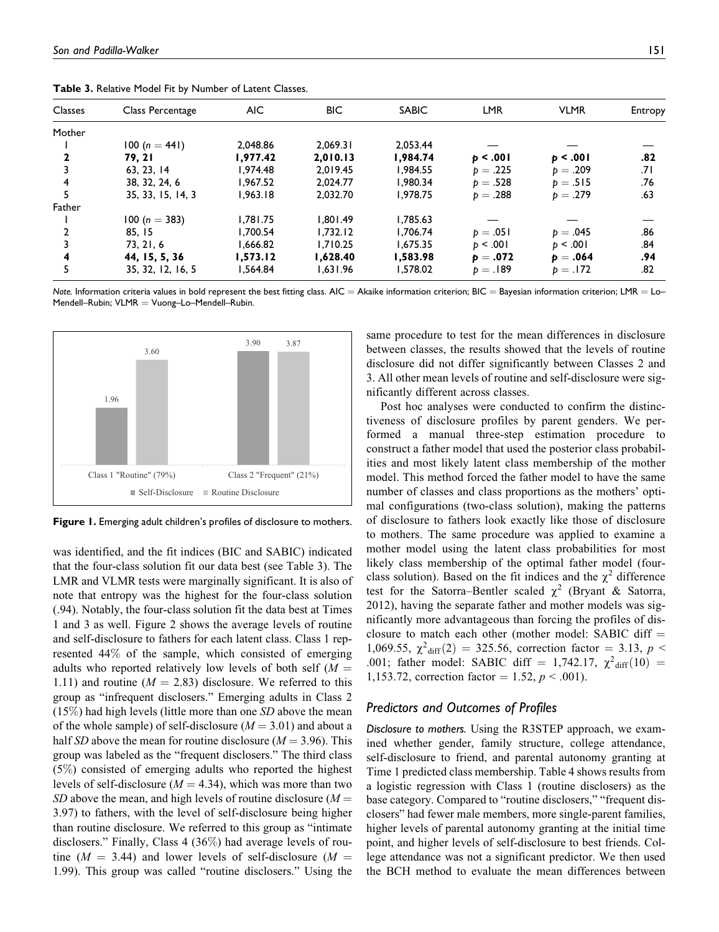| <b>Classes</b> | Class Percentage  | AIC.     | <b>BIC</b> | <b>SABIC</b> | <b>LMR</b> | <b>VLMR</b> | Entropy |
|----------------|-------------------|----------|------------|--------------|------------|-------------|---------|
| Mother         |                   |          |            |              |            |             |         |
|                | $100 (n = 441)$   | 2.048.86 | 2.069.31   | 2.053.44     |            |             |         |
| $\mathbf{z}$   | 79. 2 I           | 1.977.42 | 2,010.13   | 1,984.74     | p < .001   | p < .001    | .82     |
|                | 63, 23, 14        | 1.974.48 | 2.019.45   | 1.984.55     | $p = .225$ | $p = .209$  | ا7.     |
| 4              | 38, 32, 24, 6     | 1.967.52 | 2.024.77   | 1.980.34     | $p = .528$ | $p = .515$  | .76     |
|                | 35, 33, 15, 14, 3 | 1.963.18 | 2.032.70   | 1.978.75     | $p=.288$   | $p = .279$  | .63     |
| Father         |                   |          |            |              |            |             |         |
|                | $100 (n = 383)$   | 1,781.75 | 1.801.49   | 1,785.63     |            |             |         |
| $\mathbf{2}$   | 85.15             | 1.700.54 | 1.732.12   | 1.706.74     | $b = .051$ | $p=.045$    | .86     |
|                | 73.21.6           | 1.666.82 | 1.710.25   | 1.675.35     | b < .001   | b < .001    | .84     |
| 4              | 44, 15, 5, 36     | 1.573.12 | 1.628.40   | 1.583.98     | $p = .072$ | $p = .064$  | .94     |
|                | 35, 32, 12, 16, 5 | 1.564.84 | 1,631.96   | 1.578.02     | $b = .189$ | $p = .172$  | .82     |

**Table 3.** Relative Model Fit by Number of Latent Classes.

*Note.* Information criteria values in bold represent the best fitting class.  $AIC = Akaike$  information criterion; BIC = Bayesian information criterion; LMR = Lo– Mendell-Rubin; VLMR = Vuong-Lo-Mendell-Rubin.



**Figure 1.** Emerging adult children's profiles of disclosure to mothers.

was identified, and the fit indices (BIC and SABIC) indicated that the four-class solution fit our data best (see Table 3). The LMR and VLMR tests were marginally significant. It is also of note that entropy was the highest for the four-class solution (.94). Notably, the four-class solution fit the data best at Times 1 and 3 as well. Figure 2 shows the average levels of routine and self-disclosure to fathers for each latent class. Class 1 represented 44% of the sample, which consisted of emerging adults who reported relatively low levels of both self  $(M =$ 1.11) and routine ( $M = 2.83$ ) disclosure. We referred to this group as "infrequent disclosers." Emerging adults in Class 2  $(15\%)$  had high levels (little more than one SD above the mean of the whole sample) of self-disclosure  $(M = 3.01)$  and about a half SD above the mean for routine disclosure ( $M = 3.96$ ). This group was labeled as the "frequent disclosers." The third class (5%) consisted of emerging adults who reported the highest levels of self-disclosure ( $M = 4.34$ ), which was more than two SD above the mean, and high levels of routine disclosure ( $M =$ 3.97) to fathers, with the level of self-disclosure being higher than routine disclosure. We referred to this group as "intimate disclosers." Finally, Class 4 (36%) had average levels of routine ( $M = 3.44$ ) and lower levels of self-disclosure ( $M =$ 1.99). This group was called "routine disclosers." Using the

same procedure to test for the mean differences in disclosure between classes, the results showed that the levels of routine disclosure did not differ significantly between Classes 2 and 3. All other mean levels of routine and self-disclosure were significantly different across classes.

Post hoc analyses were conducted to confirm the distinctiveness of disclosure profiles by parent genders. We performed a manual three-step estimation procedure to construct a father model that used the posterior class probabilities and most likely latent class membership of the mother model. This method forced the father model to have the same number of classes and class proportions as the mothers' optimal configurations (two-class solution), making the patterns of disclosure to fathers look exactly like those of disclosure to mothers. The same procedure was applied to examine a mother model using the latent class probabilities for most likely class membership of the optimal father model (fourclass solution). Based on the fit indices and the  $\chi^2$  difference test for the Satorra–Bentler scaled  $\chi^2$  (Bryant & Satorra, 2012), having the separate father and mother models was significantly more advantageous than forcing the profiles of disclosure to match each other (mother model: SABIC diff  $=$ 1,069.55,  $\chi^2$ <sub>diff</sub> $(2)$  = 325.56, correction factor = 3.13, *p* < .001; father model: SABIC diff = 1,742.17,  $\chi^2$ <sub>diff</sub>(10) = 1,153.72, correction factor = 1.52,  $p < .001$ ).

## *Predictors and Outcomes of Profiles*

*Disclosure to mothers.* Using the R3STEP approach, we examined whether gender, family structure, college attendance, self-disclosure to friend, and parental autonomy granting at Time 1 predicted class membership. Table 4 shows results from a logistic regression with Class 1 (routine disclosers) as the base category. Compared to "routine disclosers," "frequent disclosers" had fewer male members, more single-parent families, higher levels of parental autonomy granting at the initial time point, and higher levels of self-disclosure to best friends. College attendance was not a significant predictor. We then used the BCH method to evaluate the mean differences between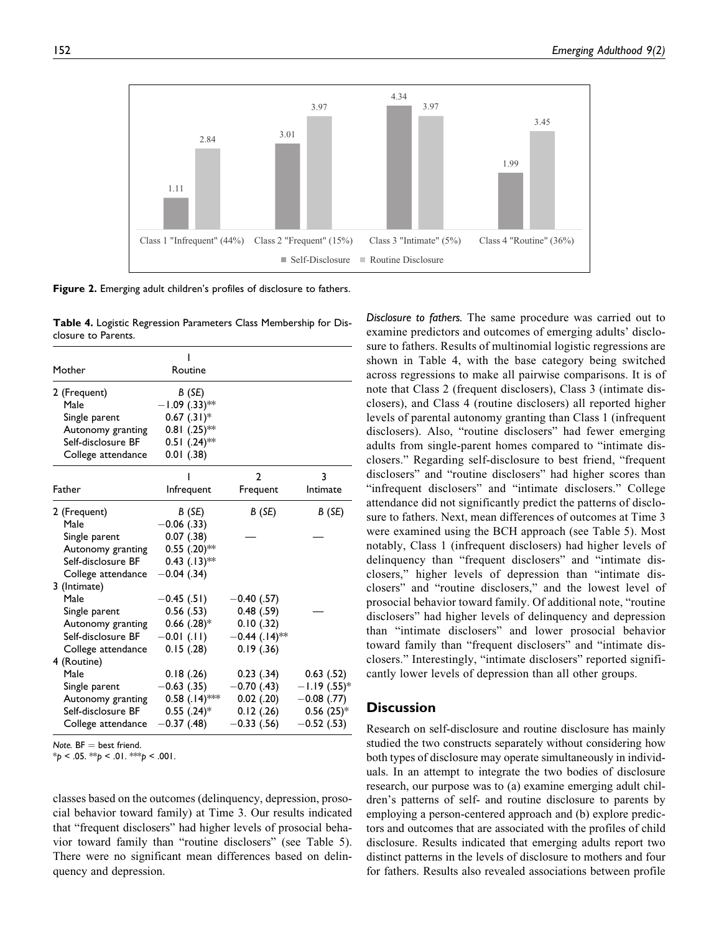![](_page_8_Figure_1.jpeg)

**Figure 2.** Emerging adult children's profiles of disclosure to fathers.

**Table 4.** Logistic Regression Parameters Class Membership for Disclosure to Parents.

| Mother             | Routine                     |                             |               |
|--------------------|-----------------------------|-----------------------------|---------------|
| 2 (Frequent)       | B (SE)                      |                             |               |
| Male               | $-1.09$ (.33)**             |                             |               |
| Single parent      | $0.67$ $(.31)*$             |                             |               |
| Autonomy granting  | $0.81$ (.25) <sup>**</sup>  |                             |               |
| Self-disclosure BF | $0.51$ (.24) <sup>**</sup>  |                             |               |
| College attendance | 0.01(0.38)                  |                             |               |
|                    |                             | $\overline{2}$              | 3             |
| Father             | Infrequent                  | Frequent                    | Intimate      |
| 2 (Frequent)       | B (SE)                      | B (SE)                      | B (SE)        |
| Male               | $-0.06$ (.33)               |                             |               |
| Single parent      | $0.07$ $(.38)$              |                             |               |
| Autonomy granting  | $0.55$ (.20) <sup>**</sup>  |                             |               |
| Self-disclosure BF | $0.43$ (.13) <sup>**</sup>  |                             |               |
| College attendance | $-0.04$ (.34)               |                             |               |
| 3 (Intimate)       |                             |                             |               |
| Male               | $-0.45$ (.51)               | $-0.40$ (.57)               |               |
| Single parent      | 0.56(.53)                   | 0.48(.59)                   |               |
| Autonomy granting  | $0.66$ $(.28)*$             | 0.10(0.32)                  |               |
| Self-disclosure BF | $-0.01$ (.11)               | $-0.44$ (.14) <sup>**</sup> |               |
| College attendance | 0.15(0.28)                  | 0.19(0.36)                  |               |
| 4 (Routine)        |                             |                             |               |
| Male               | 0.18(0.26)                  | 0.23(0.34)                  | $0.63$ (.52)  |
| Single parent      | $-0.63$ (.35)               | $-0.70$ (.43)               | $-1.19(.55)*$ |
| Autonomy granting  | $0.58$ (.14)***             | $0.02$ (.20)                | $-0.08$ (.77) |
| Self-disclosure BF | $0.55$ $(.24)$ <sup>*</sup> | 0.12(0.26)                  | $0.56(25)*$   |
| College attendance | $-0.37$ (.48)               | $-0.33$ (.56)               | $-0.52$ (.53) |

 $Note.$   $BF = best$  friend.

\**p* < .05. \*\**p* < .01. \*\*\**p* < .001.

classes based on the outcomes (delinquency, depression, prosocial behavior toward family) at Time 3. Our results indicated that "frequent disclosers" had higher levels of prosocial behavior toward family than "routine disclosers" (see Table 5). There were no significant mean differences based on delinquency and depression.

*Disclosure to fathers.* The same procedure was carried out to examine predictors and outcomes of emerging adults' disclosure to fathers. Results of multinomial logistic regressions are shown in Table 4, with the base category being switched across regressions to make all pairwise comparisons. It is of note that Class 2 (frequent disclosers), Class 3 (intimate disclosers), and Class 4 (routine disclosers) all reported higher levels of parental autonomy granting than Class 1 (infrequent disclosers). Also, "routine disclosers" had fewer emerging adults from single-parent homes compared to "intimate disclosers." Regarding self-disclosure to best friend, "frequent disclosers" and "routine disclosers" had higher scores than "infrequent disclosers" and "intimate disclosers." College attendance did not significantly predict the patterns of disclosure to fathers. Next, mean differences of outcomes at Time 3 were examined using the BCH approach (see Table 5). Most notably, Class 1 (infrequent disclosers) had higher levels of delinquency than "frequent disclosers" and "intimate disclosers," higher levels of depression than "intimate disclosers" and "routine disclosers," and the lowest level of prosocial behavior toward family. Of additional note, "routine disclosers" had higher levels of delinquency and depression than "intimate disclosers" and lower prosocial behavior toward family than "frequent disclosers" and "intimate disclosers." Interestingly, "intimate disclosers" reported significantly lower levels of depression than all other groups.

## **Discussion**

Research on self-disclosure and routine disclosure has mainly studied the two constructs separately without considering how both types of disclosure may operate simultaneously in individuals. In an attempt to integrate the two bodies of disclosure research, our purpose was to (a) examine emerging adult children's patterns of self- and routine disclosure to parents by employing a person-centered approach and (b) explore predictors and outcomes that are associated with the profiles of child disclosure. Results indicated that emerging adults report two distinct patterns in the levels of disclosure to mothers and four for fathers. Results also revealed associations between profile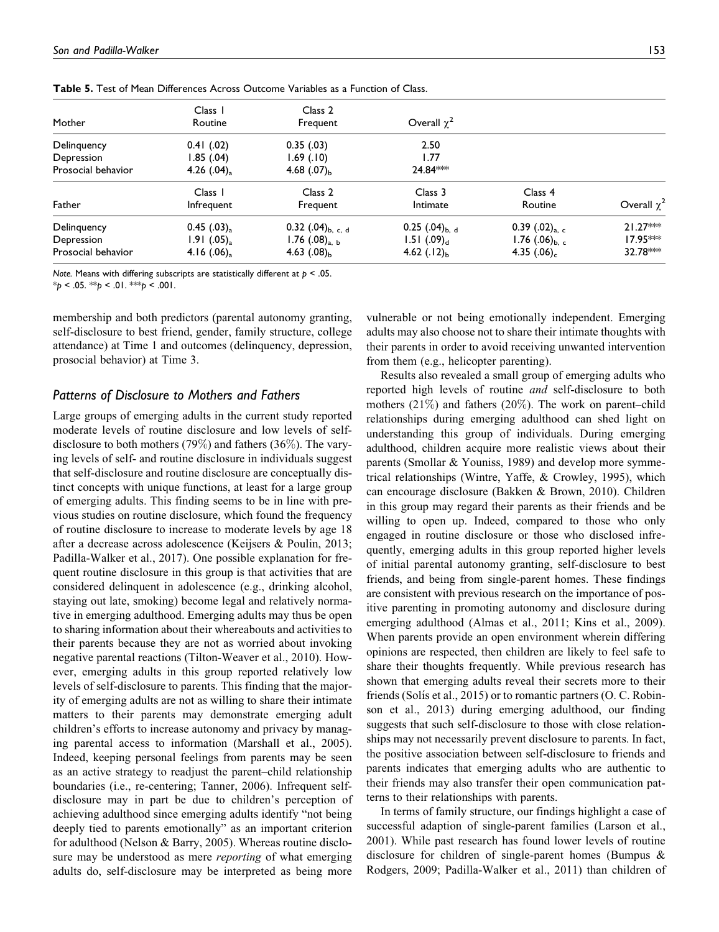| Mother             | Class 1<br>Routine        | Class 2<br>Frequent    | Overall $\chi^2$     |                     |                  |
|--------------------|---------------------------|------------------------|----------------------|---------------------|------------------|
| Delinguency        | 0.41(0.02)                | 0.35(0.03)             | 2.50                 |                     |                  |
| Depression         | 1.85(.04)                 | 1.69(.10)              | 1.77                 |                     |                  |
| Prosocial behavior | 4.26 $(.04)_{\circ}$      | 4.68 $(.07)_{h}$       | 24.84***             |                     |                  |
|                    | Class 1                   | Class 2                | Class 3              | Class 4             |                  |
| Father             | Infrequent                | Frequent               | Intimate             | Routine             | Overall $\chi^2$ |
| Delinquency        | $0.45$ (.03) <sub>a</sub> | 0.32 $(.04)_{b, c, d}$ | 0.25 $(.04)_{b, d}$  | 0.39 $(.02)_{a, c}$ | $21.27***$       |
| Depression         | $1.91(0.05)$ <sub>a</sub> | 1.76 $(.08)_{a, b}$    | 1.51 $(.09)_{\rm d}$ | 1.76 $(.06)_{b, c}$ | $17.95***$       |
| Prosocial behavior | 4.16 $(.06)_{\text{a}}$   | 4.63 $(.08)_{b}$       | 4.62 $(.12)_b$       | 4.35 $(.06)_{c}$    | 32.78 **         |

**Table 5.** Test of Mean Differences Across Outcome Variables as a Function of Class.

*Note.* Means with differing subscripts are statistically different at *p* < .05.  $*_{p}$  < .05.  $*_{p}$  < .01.  $*_{p}$  < .001.

membership and both predictors (parental autonomy granting, self-disclosure to best friend, gender, family structure, college attendance) at Time 1 and outcomes (delinquency, depression, prosocial behavior) at Time 3.

## *Patterns of Disclosure to Mothers and Fathers*

Large groups of emerging adults in the current study reported moderate levels of routine disclosure and low levels of selfdisclosure to both mothers (79%) and fathers (36%). The varying levels of self- and routine disclosure in individuals suggest that self-disclosure and routine disclosure are conceptually distinct concepts with unique functions, at least for a large group of emerging adults. This finding seems to be in line with previous studies on routine disclosure, which found the frequency of routine disclosure to increase to moderate levels by age 18 after a decrease across adolescence (Keijsers & Poulin, 2013; Padilla-Walker et al., 2017). One possible explanation for frequent routine disclosure in this group is that activities that are considered delinquent in adolescence (e.g., drinking alcohol, staying out late, smoking) become legal and relatively normative in emerging adulthood. Emerging adults may thus be open to sharing information about their whereabouts and activities to their parents because they are not as worried about invoking negative parental reactions (Tilton-Weaver et al., 2010). However, emerging adults in this group reported relatively low levels of self-disclosure to parents. This finding that the majority of emerging adults are not as willing to share their intimate matters to their parents may demonstrate emerging adult children's efforts to increase autonomy and privacy by managing parental access to information (Marshall et al., 2005). Indeed, keeping personal feelings from parents may be seen as an active strategy to readjust the parent–child relationship boundaries (i.e., re-centering; Tanner, 2006). Infrequent selfdisclosure may in part be due to children's perception of achieving adulthood since emerging adults identify "not being deeply tied to parents emotionally" as an important criterion for adulthood (Nelson & Barry, 2005). Whereas routine disclosure may be understood as mere *reporting* of what emerging adults do, self-disclosure may be interpreted as being more

vulnerable or not being emotionally independent. Emerging adults may also choose not to share their intimate thoughts with their parents in order to avoid receiving unwanted intervention from them (e.g., helicopter parenting).

Results also revealed a small group of emerging adults who reported high levels of routine *and* self-disclosure to both mothers  $(21\%)$  and fathers  $(20\%)$ . The work on parent–child relationships during emerging adulthood can shed light on understanding this group of individuals. During emerging adulthood, children acquire more realistic views about their parents (Smollar & Youniss, 1989) and develop more symmetrical relationships (Wintre, Yaffe, & Crowley, 1995), which can encourage disclosure (Bakken & Brown, 2010). Children in this group may regard their parents as their friends and be willing to open up. Indeed, compared to those who only engaged in routine disclosure or those who disclosed infrequently, emerging adults in this group reported higher levels of initial parental autonomy granting, self-disclosure to best friends, and being from single-parent homes. These findings are consistent with previous research on the importance of positive parenting in promoting autonomy and disclosure during emerging adulthood (Almas et al., 2011; Kins et al., 2009). When parents provide an open environment wherein differing opinions are respected, then children are likely to feel safe to share their thoughts frequently. While previous research has shown that emerging adults reveal their secrets more to their friends (Solís et al., 2015) or to romantic partners  $(O, C, Robin$ son et al., 2013) during emerging adulthood, our finding suggests that such self-disclosure to those with close relationships may not necessarily prevent disclosure to parents. In fact, the positive association between self-disclosure to friends and parents indicates that emerging adults who are authentic to their friends may also transfer their open communication patterns to their relationships with parents.

In terms of family structure, our findings highlight a case of successful adaption of single-parent families (Larson et al., 2001). While past research has found lower levels of routine disclosure for children of single-parent homes (Bumpus & Rodgers, 2009; Padilla-Walker et al., 2011) than children of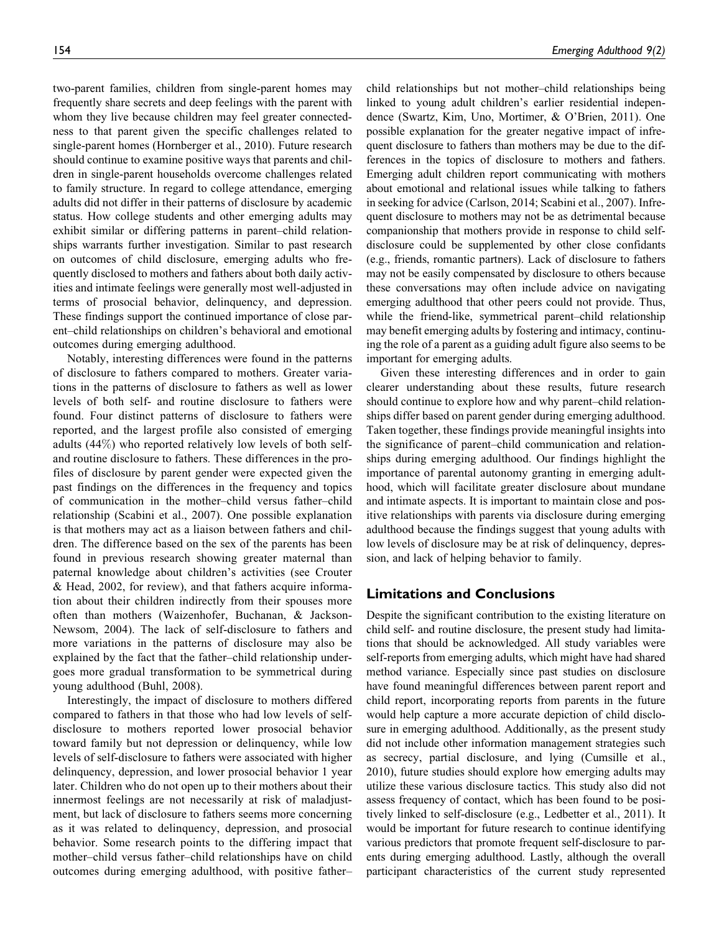two-parent families, children from single-parent homes may frequently share secrets and deep feelings with the parent with whom they live because children may feel greater connectedness to that parent given the specific challenges related to single-parent homes (Hornberger et al., 2010). Future research should continue to examine positive ways that parents and children in single-parent households overcome challenges related to family structure. In regard to college attendance, emerging adults did not differ in their patterns of disclosure by academic status. How college students and other emerging adults may exhibit similar or differing patterns in parent–child relationships warrants further investigation. Similar to past research on outcomes of child disclosure, emerging adults who frequently disclosed to mothers and fathers about both daily activities and intimate feelings were generally most well-adjusted in terms of prosocial behavior, delinquency, and depression. These findings support the continued importance of close parent–child relationships on children's behavioral and emotional outcomes during emerging adulthood.

Notably, interesting differences were found in the patterns of disclosure to fathers compared to mothers. Greater variations in the patterns of disclosure to fathers as well as lower levels of both self- and routine disclosure to fathers were found. Four distinct patterns of disclosure to fathers were reported, and the largest profile also consisted of emerging adults (44%) who reported relatively low levels of both selfand routine disclosure to fathers. These differences in the profiles of disclosure by parent gender were expected given the past findings on the differences in the frequency and topics of communication in the mother–child versus father–child relationship (Scabini et al., 2007). One possible explanation is that mothers may act as a liaison between fathers and children. The difference based on the sex of the parents has been found in previous research showing greater maternal than paternal knowledge about children's activities (see Crouter & Head, 2002, for review), and that fathers acquire information about their children indirectly from their spouses more often than mothers (Waizenhofer, Buchanan, & Jackson-Newsom, 2004). The lack of self-disclosure to fathers and more variations in the patterns of disclosure may also be explained by the fact that the father–child relationship undergoes more gradual transformation to be symmetrical during young adulthood (Buhl, 2008).

Interestingly, the impact of disclosure to mothers differed compared to fathers in that those who had low levels of selfdisclosure to mothers reported lower prosocial behavior toward family but not depression or delinquency, while low levels of self-disclosure to fathers were associated with higher delinquency, depression, and lower prosocial behavior 1 year later. Children who do not open up to their mothers about their innermost feelings are not necessarily at risk of maladjustment, but lack of disclosure to fathers seems more concerning as it was related to delinquency, depression, and prosocial behavior. Some research points to the differing impact that mother–child versus father–child relationships have on child outcomes during emerging adulthood, with positive father–

child relationships but not mother–child relationships being linked to young adult children's earlier residential independence (Swartz, Kim, Uno, Mortimer, & O'Brien, 2011). One possible explanation for the greater negative impact of infrequent disclosure to fathers than mothers may be due to the differences in the topics of disclosure to mothers and fathers. Emerging adult children report communicating with mothers about emotional and relational issues while talking to fathers in seeking for advice (Carlson, 2014; Scabini et al., 2007). Infrequent disclosure to mothers may not be as detrimental because companionship that mothers provide in response to child selfdisclosure could be supplemented by other close confidants (e.g., friends, romantic partners). Lack of disclosure to fathers may not be easily compensated by disclosure to others because these conversations may often include advice on navigating emerging adulthood that other peers could not provide. Thus, while the friend-like, symmetrical parent–child relationship may benefit emerging adults by fostering and intimacy, continuing the role of a parent as a guiding adult figure also seems to be important for emerging adults.

Given these interesting differences and in order to gain clearer understanding about these results, future research should continue to explore how and why parent–child relationships differ based on parent gender during emerging adulthood. Taken together, these findings provide meaningful insights into the significance of parent–child communication and relationships during emerging adulthood. Our findings highlight the importance of parental autonomy granting in emerging adulthood, which will facilitate greater disclosure about mundane and intimate aspects. It is important to maintain close and positive relationships with parents via disclosure during emerging adulthood because the findings suggest that young adults with low levels of disclosure may be at risk of delinquency, depression, and lack of helping behavior to family.

## **Limitations and Conclusions**

Despite the significant contribution to the existing literature on child self- and routine disclosure, the present study had limitations that should be acknowledged. All study variables were self-reports from emerging adults, which might have had shared method variance. Especially since past studies on disclosure have found meaningful differences between parent report and child report, incorporating reports from parents in the future would help capture a more accurate depiction of child disclosure in emerging adulthood. Additionally, as the present study did not include other information management strategies such as secrecy, partial disclosure, and lying (Cumsille et al., 2010), future studies should explore how emerging adults may utilize these various disclosure tactics. This study also did not assess frequency of contact, which has been found to be positively linked to self-disclosure (e.g., Ledbetter et al., 2011). It would be important for future research to continue identifying various predictors that promote frequent self-disclosure to parents during emerging adulthood. Lastly, although the overall participant characteristics of the current study represented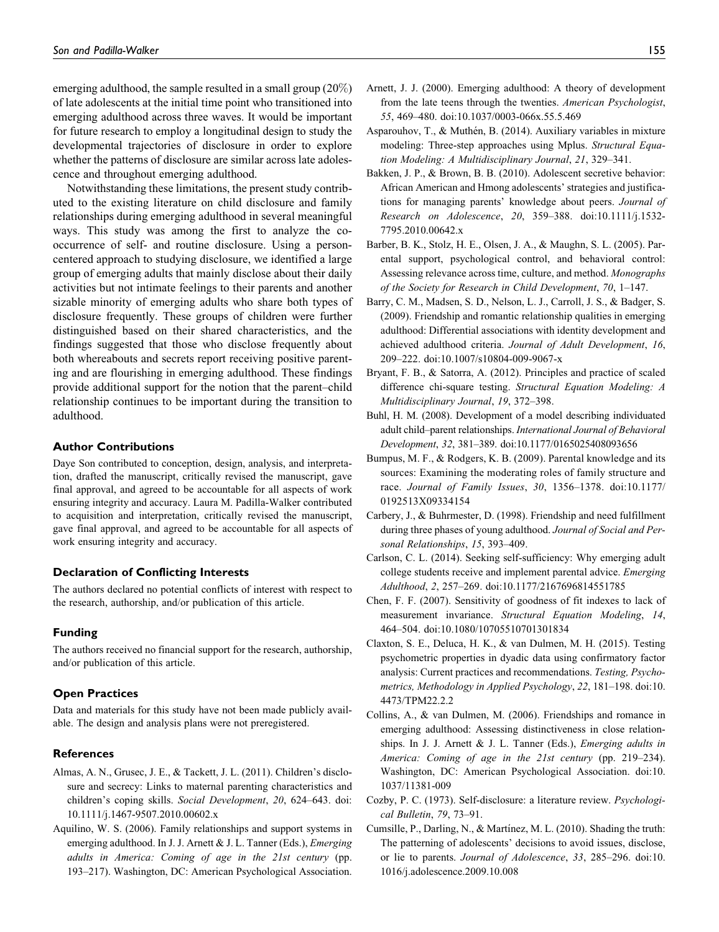emerging adulthood, the sample resulted in a small group (20%) of late adolescents at the initial time point who transitioned into emerging adulthood across three waves. It would be important for future research to employ a longitudinal design to study the developmental trajectories of disclosure in order to explore whether the patterns of disclosure are similar across late adolescence and throughout emerging adulthood.

Notwithstanding these limitations, the present study contributed to the existing literature on child disclosure and family relationships during emerging adulthood in several meaningful ways. This study was among the first to analyze the cooccurrence of self- and routine disclosure. Using a personcentered approach to studying disclosure, we identified a large group of emerging adults that mainly disclose about their daily activities but not intimate feelings to their parents and another sizable minority of emerging adults who share both types of disclosure frequently. These groups of children were further distinguished based on their shared characteristics, and the findings suggested that those who disclose frequently about both whereabouts and secrets report receiving positive parenting and are flourishing in emerging adulthood. These findings provide additional support for the notion that the parent–child relationship continues to be important during the transition to adulthood.

## **Author Contributions**

Daye Son contributed to conception, design, analysis, and interpretation, drafted the manuscript, critically revised the manuscript, gave final approval, and agreed to be accountable for all aspects of work ensuring integrity and accuracy. Laura M. Padilla-Walker contributed to acquisition and interpretation, critically revised the manuscript, gave final approval, and agreed to be accountable for all aspects of work ensuring integrity and accuracy.

## **Declaration of Conflicting Interests**

The authors declared no potential conflicts of interest with respect to the research, authorship, and/or publication of this article.

#### **Funding**

The authors received no financial support for the research, authorship, and/or publication of this article.

### **Open Practices**

Data and materials for this study have not been made publicly available. The design and analysis plans were not preregistered.

#### **References**

- Almas, A. N., Grusec, J. E., & Tackett, J. L. (2011). Children's disclosure and secrecy: Links to maternal parenting characteristics and children's coping skills. Social Development, 20, 624–643. doi: 10.1111/j.1467-9507.2010.00602.x
- Aquilino, W. S. (2006). Family relationships and support systems in emerging adulthood. In J. J. Arnett & J. L. Tanner (Eds.), *Emerging* adults in America: Coming of age in the 21st century (pp. 193–217). Washington, DC: American Psychological Association.
- Arnett, J. J. (2000). Emerging adulthood: A theory of development from the late teens through the twenties. American Psychologist, 55, 469–480. doi:10.1037/0003-066x.55.5.469
- Asparouhov, T., & Muthén, B. (2014). Auxiliary variables in mixture modeling: Three-step approaches using Mplus. Structural Equation Modeling: A Multidisciplinary Journal, 21, 329–341.
- Bakken, J. P., & Brown, B. B. (2010). Adolescent secretive behavior: African American and Hmong adolescents' strategies and justifications for managing parents' knowledge about peers. Journal of Research on Adolescence, 20, 359–388. doi:10.1111/j.1532- 7795.2010.00642.x
- Barber, B. K., Stolz, H. E., Olsen, J. A., & Maughn, S. L. (2005). Parental support, psychological control, and behavioral control: Assessing relevance across time, culture, and method. Monographs of the Society for Research in Child Development, 70, 1–147.
- Barry, C. M., Madsen, S. D., Nelson, L. J., Carroll, J. S., & Badger, S. (2009). Friendship and romantic relationship qualities in emerging adulthood: Differential associations with identity development and achieved adulthood criteria. Journal of Adult Development, 16, 209–222. doi:10.1007/s10804-009-9067-x
- Bryant, F. B., & Satorra, A. (2012). Principles and practice of scaled difference chi-square testing. Structural Equation Modeling: A Multidisciplinary Journal, 19, 372–398.
- Buhl, H. M. (2008). Development of a model describing individuated adult child–parent relationships. International Journal of Behavioral Development, 32, 381–389. doi:10.1177/0165025408093656
- Bumpus, M. F., & Rodgers, K. B. (2009). Parental knowledge and its sources: Examining the moderating roles of family structure and race. Journal of Family Issues, 30, 1356–1378. doi:10.1177/ 0192513X09334154
- Carbery, J., & Buhrmester, D. (1998). Friendship and need fulfillment during three phases of young adulthood. Journal of Social and Personal Relationships, 15, 393–409.
- Carlson, C. L. (2014). Seeking self-sufficiency: Why emerging adult college students receive and implement parental advice. Emerging Adulthood, 2, 257–269. doi:10.1177/2167696814551785
- Chen, F. F. (2007). Sensitivity of goodness of fit indexes to lack of measurement invariance. Structural Equation Modeling, 14, 464–504. doi:10.1080/10705510701301834
- Claxton, S. E., Deluca, H. K., & van Dulmen, M. H. (2015). Testing psychometric properties in dyadic data using confirmatory factor analysis: Current practices and recommendations. Testing, Psychometrics, Methodology in Applied Psychology, 22, 181–198. doi:10. 4473/TPM22.2.2
- Collins, A., & van Dulmen, M. (2006). Friendships and romance in emerging adulthood: Assessing distinctiveness in close relationships. In J. J. Arnett & J. L. Tanner (Eds.), *Emerging adults in* America: Coming of age in the 21st century (pp. 219–234). Washington, DC: American Psychological Association. doi:10. 1037/11381-009
- Cozby, P. C. (1973). Self-disclosure: a literature review. Psychological Bulletin, 79, 73–91.
- Cumsille, P., Darling, N., & Martínez, M. L. (2010). Shading the truth: The patterning of adolescents' decisions to avoid issues, disclose, or lie to parents. Journal of Adolescence, 33, 285–296. doi:10. 1016/j.adolescence.2009.10.008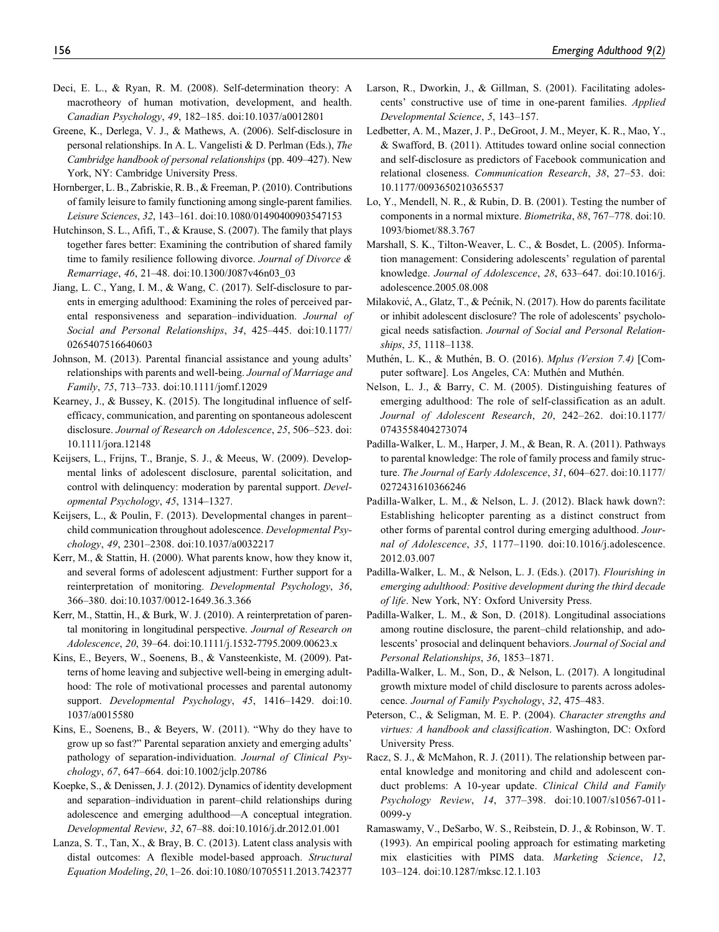- Deci, E. L., & Ryan, R. M. (2008). Self-determination theory: A macrotheory of human motivation, development, and health. Canadian Psychology, 49, 182–185. doi:10.1037/a0012801
- Greene, K., Derlega, V. J., & Mathews, A. (2006). Self-disclosure in personal relationships. In A. L. Vangelisti & D. Perlman (Eds.), The Cambridge handbook of personal relationships (pp. 409–427). New York, NY: Cambridge University Press.
- Hornberger, L. B., Zabriskie, R. B., & Freeman, P. (2010). Contributions of family leisure to family functioning among single-parent families. Leisure Sciences, 32, 143–161. doi:10.1080/01490400903547153
- Hutchinson, S. L., Afifi, T., & Krause, S. (2007). The family that plays together fares better: Examining the contribution of shared family time to family resilience following divorce. Journal of Divorce & Remarriage, 46, 21–48. doi:10.1300/J087v46n03\_03
- Jiang, L. C., Yang, I. M., & Wang, C. (2017). Self-disclosure to parents in emerging adulthood: Examining the roles of perceived parental responsiveness and separation–individuation. Journal of Social and Personal Relationships, 34, 425–445. doi:10.1177/ 0265407516640603
- Johnson, M. (2013). Parental financial assistance and young adults' relationships with parents and well-being. Journal of Marriage and Family, 75, 713–733. doi:10.1111/jomf.12029
- Kearney, J., & Bussey, K. (2015). The longitudinal influence of selfefficacy, communication, and parenting on spontaneous adolescent disclosure. Journal of Research on Adolescence, 25, 506–523. doi: 10.1111/jora.12148
- Keijsers, L., Frijns, T., Branje, S. J., & Meeus, W. (2009). Developmental links of adolescent disclosure, parental solicitation, and control with delinquency: moderation by parental support. Developmental Psychology, 45, 1314–1327.
- Keijsers, L., & Poulin, F. (2013). Developmental changes in parent– child communication throughout adolescence. Developmental Psychology, 49, 2301–2308. doi:10.1037/a0032217
- Kerr, M., & Stattin, H. (2000). What parents know, how they know it, and several forms of adolescent adjustment: Further support for a reinterpretation of monitoring. Developmental Psychology, 36, 366–380. doi:10.1037/0012-1649.36.3.366
- Kerr, M., Stattin, H., & Burk, W. J. (2010). A reinterpretation of parental monitoring in longitudinal perspective. Journal of Research on Adolescence, 20, 39–64. doi:10.1111/j.1532-7795.2009.00623.x
- Kins, E., Beyers, W., Soenens, B., & Vansteenkiste, M. (2009). Patterns of home leaving and subjective well-being in emerging adulthood: The role of motivational processes and parental autonomy support. Developmental Psychology, 45, 1416-1429. doi:10. 1037/a0015580
- Kins, E., Soenens, B., & Beyers, W. (2011). "Why do they have to grow up so fast?" Parental separation anxiety and emerging adults' pathology of separation-individuation. Journal of Clinical Psychology, 67, 647–664. doi:10.1002/jclp.20786
- Koepke, S., & Denissen, J. J. (2012). Dynamics of identity development and separation–individuation in parent–child relationships during adolescence and emerging adulthood—A conceptual integration. Developmental Review, 32, 67–88. doi:10.1016/j.dr.2012.01.001
- Lanza, S. T., Tan, X., & Bray, B. C. (2013). Latent class analysis with distal outcomes: A flexible model-based approach. Structural Equation Modeling, 20, 1–26. doi:10.1080/10705511.2013.742377
- Larson, R., Dworkin, J., & Gillman, S. (2001). Facilitating adolescents' constructive use of time in one-parent families. Applied Developmental Science, 5, 143–157.
- Ledbetter, A. M., Mazer, J. P., DeGroot, J. M., Meyer, K. R., Mao, Y., & Swafford, B. (2011). Attitudes toward online social connection and self-disclosure as predictors of Facebook communication and relational closeness. Communication Research, 38, 27–53. doi: 10.1177/0093650210365537
- Lo, Y., Mendell, N. R., & Rubin, D. B. (2001). Testing the number of components in a normal mixture. Biometrika, 88, 767–778. doi:10. 1093/biomet/88.3.767
- Marshall, S. K., Tilton-Weaver, L. C., & Bosdet, L. (2005). Information management: Considering adolescents' regulation of parental knowledge. Journal of Adolescence, 28, 633–647. doi:10.1016/j. adolescence.2005.08.008
- Milaković, A., Glatz, T., & Pećnik, N. (2017). How do parents facilitate or inhibit adolescent disclosure? The role of adolescents' psychological needs satisfaction. Journal of Social and Personal Relationships, 35, 1118–1138.
- Muthén, L. K., & Muthén, B. O. (2016). Mplus (Version 7.4) [Computer software]. Los Angeles, CA: Muthén and Muthén.
- Nelson, L. J., & Barry, C. M. (2005). Distinguishing features of emerging adulthood: The role of self-classification as an adult. Journal of Adolescent Research, 20, 242–262. doi:10.1177/ 0743558404273074
- Padilla-Walker, L. M., Harper, J. M., & Bean, R. A. (2011). Pathways to parental knowledge: The role of family process and family structure. The Journal of Early Adolescence, 31, 604–627. doi:10.1177/ 0272431610366246
- Padilla-Walker, L. M., & Nelson, L. J. (2012). Black hawk down?: Establishing helicopter parenting as a distinct construct from other forms of parental control during emerging adulthood. Journal of Adolescence, 35, 1177–1190. doi:10.1016/j.adolescence. 2012.03.007
- Padilla-Walker, L. M., & Nelson, L. J. (Eds.). (2017). Flourishing in emerging adulthood: Positive development during the third decade of life. New York, NY: Oxford University Press.
- Padilla-Walker, L. M., & Son, D. (2018). Longitudinal associations among routine disclosure, the parent–child relationship, and adolescents' prosocial and delinquent behaviors. Journal of Social and Personal Relationships, 36, 1853–1871.
- Padilla-Walker, L. M., Son, D., & Nelson, L. (2017). A longitudinal growth mixture model of child disclosure to parents across adolescence. Journal of Family Psychology, 32, 475–483.
- Peterson, C., & Seligman, M. E. P. (2004). Character strengths and virtues: A handbook and classification. Washington, DC: Oxford University Press.
- Racz, S. J., & McMahon, R. J. (2011). The relationship between parental knowledge and monitoring and child and adolescent conduct problems: A 10-year update. Clinical Child and Family Psychology Review, 14, 377–398. doi:10.1007/s10567-011- 0099-y
- Ramaswamy, V., DeSarbo, W. S., Reibstein, D. J., & Robinson, W. T. (1993). An empirical pooling approach for estimating marketing mix elasticities with PIMS data. Marketing Science, 12, 103–124. doi:10.1287/mksc.12.1.103